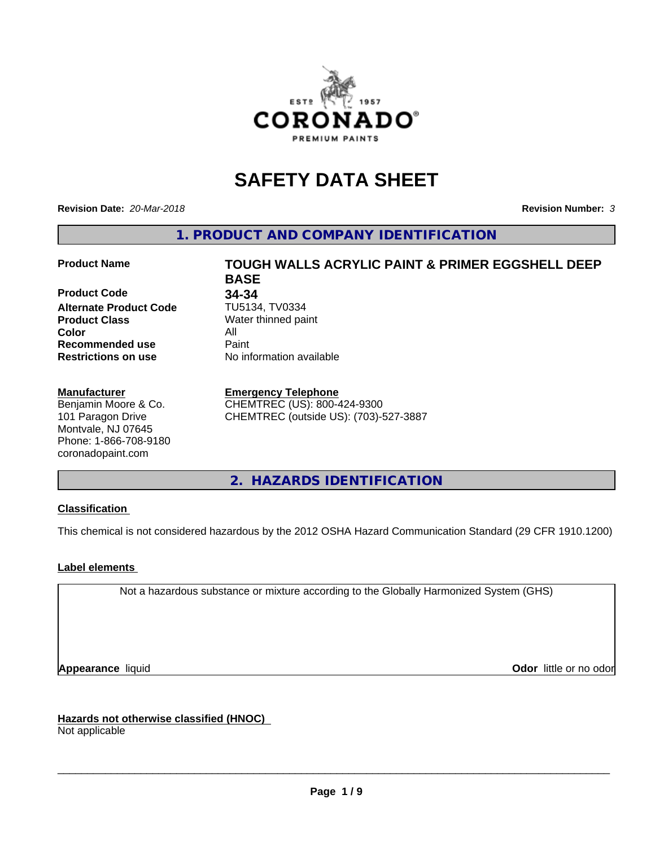

# **SAFETY DATA SHEET**

**Revision Date:** *20-Mar-2018* **Revision Number:** *3*

**1. PRODUCT AND COMPANY IDENTIFICATION**

### **Product Name TOUGH WALLS ACRYLIC PAINT & PRIMER EGGSHELL DEEP**

**Product Code 34-34**<br> **Alternate Product Code 1U5134. TV0334 Alternate Product Code Product Class** Water thinned paint<br> **Color** All **Color** All **Recommended use Caint Restrictions on use** No information available

#### **Manufacturer**

Benjamin Moore & Co. 101 Paragon Drive Montvale, NJ 07645 Phone: 1-866-708-9180 coronadopaint.com

**BASE**

#### **Emergency Telephone**

CHEMTREC (US): 800-424-9300 CHEMTREC (outside US): (703)-527-3887

**2. HAZARDS IDENTIFICATION**

# **Classification**

This chemical is not considered hazardous by the 2012 OSHA Hazard Communication Standard (29 CFR 1910.1200)

## **Label elements**

Not a hazardous substance or mixture according to the Globally Harmonized System (GHS)

**Appearance** liquid **Contract Contract Contract Contract Contract Contract Contract Contract Contract Contract Contract Contract Contract Contract Contract Contract Contract Contract Contract Contract Contract Contract Con** 

**Hazards not otherwise classified (HNOC)**

Not applicable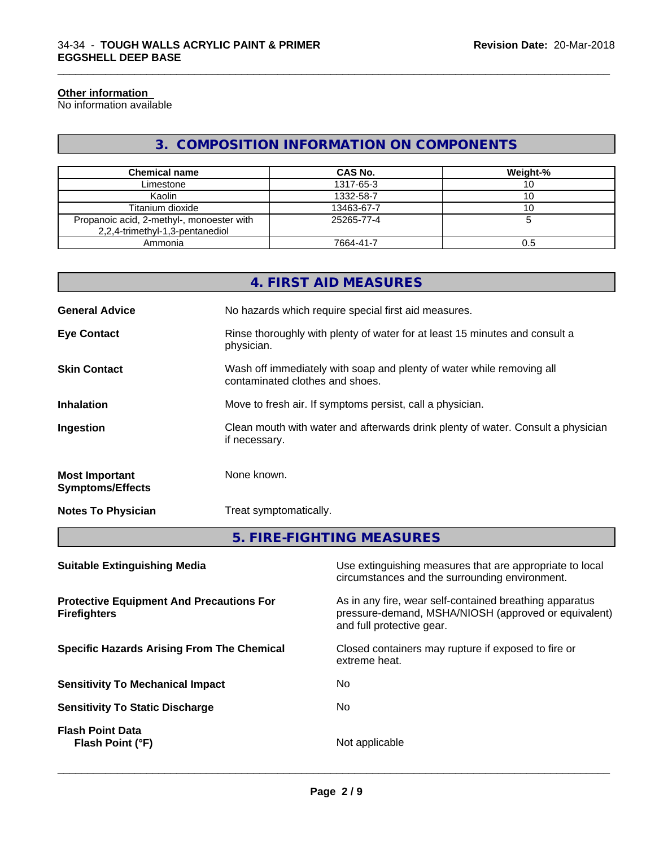#### **Other information**

No information available

# **3. COMPOSITION INFORMATION ON COMPONENTS**

\_\_\_\_\_\_\_\_\_\_\_\_\_\_\_\_\_\_\_\_\_\_\_\_\_\_\_\_\_\_\_\_\_\_\_\_\_\_\_\_\_\_\_\_\_\_\_\_\_\_\_\_\_\_\_\_\_\_\_\_\_\_\_\_\_\_\_\_\_\_\_\_\_\_\_\_\_\_\_\_\_\_\_\_\_\_\_\_\_\_\_\_\_

| <b>Chemical name</b>                                                         | CAS No.    | Weight-% |
|------------------------------------------------------------------------------|------------|----------|
| Limestone                                                                    | 1317-65-3  |          |
| Kaolin                                                                       | 1332-58-7  |          |
| Titanium dioxide                                                             | 13463-67-7 |          |
| Propanoic acid, 2-methyl-, monoester with<br>2,2,4-trimethyl-1,3-pentanediol | 25265-77-4 |          |
| Ammonia                                                                      | 7664-41-7  | 0.5      |

|                                                  | 4. FIRST AID MEASURES                                                                                    |
|--------------------------------------------------|----------------------------------------------------------------------------------------------------------|
| <b>General Advice</b>                            | No hazards which require special first aid measures.                                                     |
| <b>Eye Contact</b>                               | Rinse thoroughly with plenty of water for at least 15 minutes and consult a<br>physician.                |
| <b>Skin Contact</b>                              | Wash off immediately with soap and plenty of water while removing all<br>contaminated clothes and shoes. |
| <b>Inhalation</b>                                | Move to fresh air. If symptoms persist, call a physician.                                                |
| Ingestion                                        | Clean mouth with water and afterwards drink plenty of water. Consult a physician<br>if necessary.        |
| <b>Most Important</b><br><b>Symptoms/Effects</b> | None known.                                                                                              |
| <b>Notes To Physician</b>                        | Treat symptomatically.                                                                                   |
|                                                  |                                                                                                          |

**5. FIRE-FIGHTING MEASURES**

| <b>Suitable Extinguishing Media</b>                                    | Use extinguishing measures that are appropriate to local<br>circumstances and the surrounding environment.                                   |
|------------------------------------------------------------------------|----------------------------------------------------------------------------------------------------------------------------------------------|
| <b>Protective Equipment And Precautions For</b><br><b>Firefighters</b> | As in any fire, wear self-contained breathing apparatus<br>pressure-demand, MSHA/NIOSH (approved or equivalent)<br>and full protective gear. |
| <b>Specific Hazards Arising From The Chemical</b>                      | Closed containers may rupture if exposed to fire or<br>extreme heat.                                                                         |
| <b>Sensitivity To Mechanical Impact</b>                                | No.                                                                                                                                          |
| <b>Sensitivity To Static Discharge</b>                                 | No.                                                                                                                                          |
| <b>Flash Point Data</b><br>Flash Point (°F)                            | Not applicable                                                                                                                               |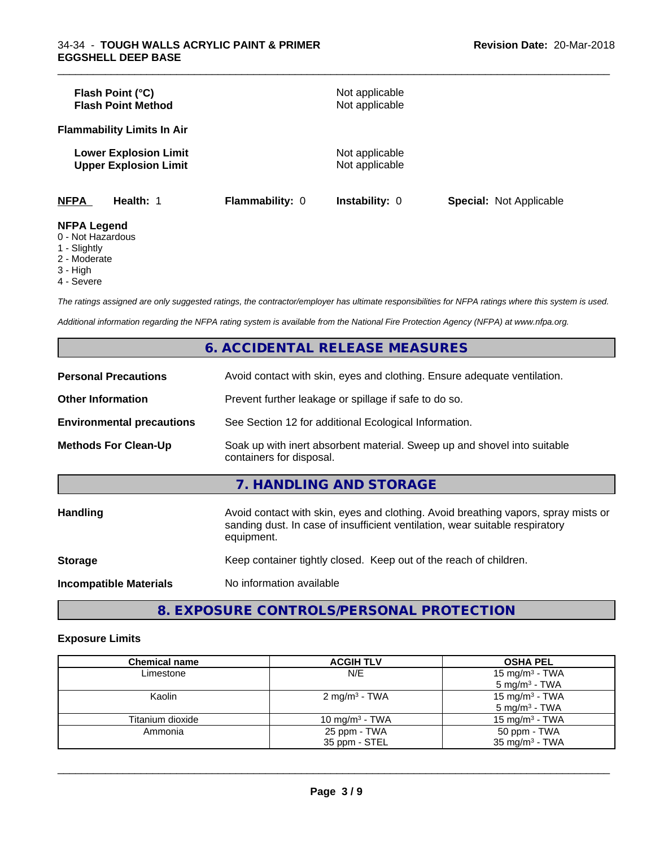| Flash Point (°C)<br><b>Flash Point Method</b> |                                                              |                        | Not applicable<br>Not applicable |                                |
|-----------------------------------------------|--------------------------------------------------------------|------------------------|----------------------------------|--------------------------------|
| <b>Flammability Limits In Air</b>             |                                                              |                        |                                  |                                |
|                                               | <b>Lower Explosion Limit</b><br><b>Upper Explosion Limit</b> |                        | Not applicable<br>Not applicable |                                |
| <b>NFPA</b>                                   | Health: 1                                                    | <b>Flammability: 0</b> | <b>Instability: 0</b>            | <b>Special: Not Applicable</b> |
| <b>NFPA Legend</b>                            |                                                              |                        |                                  |                                |

\_\_\_\_\_\_\_\_\_\_\_\_\_\_\_\_\_\_\_\_\_\_\_\_\_\_\_\_\_\_\_\_\_\_\_\_\_\_\_\_\_\_\_\_\_\_\_\_\_\_\_\_\_\_\_\_\_\_\_\_\_\_\_\_\_\_\_\_\_\_\_\_\_\_\_\_\_\_\_\_\_\_\_\_\_\_\_\_\_\_\_\_\_

- 0 Not Hazardous
- 1 Slightly
- 2 Moderate
- 3 High
- 4 Severe

*The ratings assigned are only suggested ratings, the contractor/employer has ultimate responsibilities for NFPA ratings where this system is used.*

*Additional information regarding the NFPA rating system is available from the National Fire Protection Agency (NFPA) at www.nfpa.org.*

|                                  | 6. ACCIDENTAL RELEASE MEASURES                                                                                                                                                   |
|----------------------------------|----------------------------------------------------------------------------------------------------------------------------------------------------------------------------------|
| <b>Personal Precautions</b>      | Avoid contact with skin, eyes and clothing. Ensure adequate ventilation.                                                                                                         |
| <b>Other Information</b>         | Prevent further leakage or spillage if safe to do so.                                                                                                                            |
| <b>Environmental precautions</b> | See Section 12 for additional Ecological Information.                                                                                                                            |
| <b>Methods For Clean-Up</b>      | Soak up with inert absorbent material. Sweep up and shovel into suitable<br>containers for disposal.                                                                             |
|                                  | 7. HANDLING AND STORAGE                                                                                                                                                          |
| <b>Handling</b>                  | Avoid contact with skin, eyes and clothing. Avoid breathing vapors, spray mists or<br>sanding dust. In case of insufficient ventilation, wear suitable respiratory<br>equipment. |
| <b>Storage</b>                   | Keep container tightly closed. Keep out of the reach of children.                                                                                                                |
| <b>Incompatible Materials</b>    | No information available                                                                                                                                                         |

**8. EXPOSURE CONTROLS/PERSONAL PROTECTION**

#### **Exposure Limits**

| <b>Chemical name</b> | <b>ACGIH TLV</b>          | <b>OSHA PEL</b>            |
|----------------------|---------------------------|----------------------------|
| Limestone            | N/E                       | 15 mg/m <sup>3</sup> - TWA |
|                      |                           | $5 \text{ mg/m}^3$ - TWA   |
| Kaolin               | 2 mg/m <sup>3</sup> - TWA | 15 mg/m <sup>3</sup> - TWA |
|                      |                           | $5 \text{ mg/m}^3$ - TWA   |
| Titanium dioxide     | 10 mg/m $3$ - TWA         | 15 mg/m <sup>3</sup> - TWA |
| Ammonia              | 25 ppm - TWA              | 50 ppm - TWA               |
|                      | 35 ppm - STEL             | 35 mg/m <sup>3</sup> - TWA |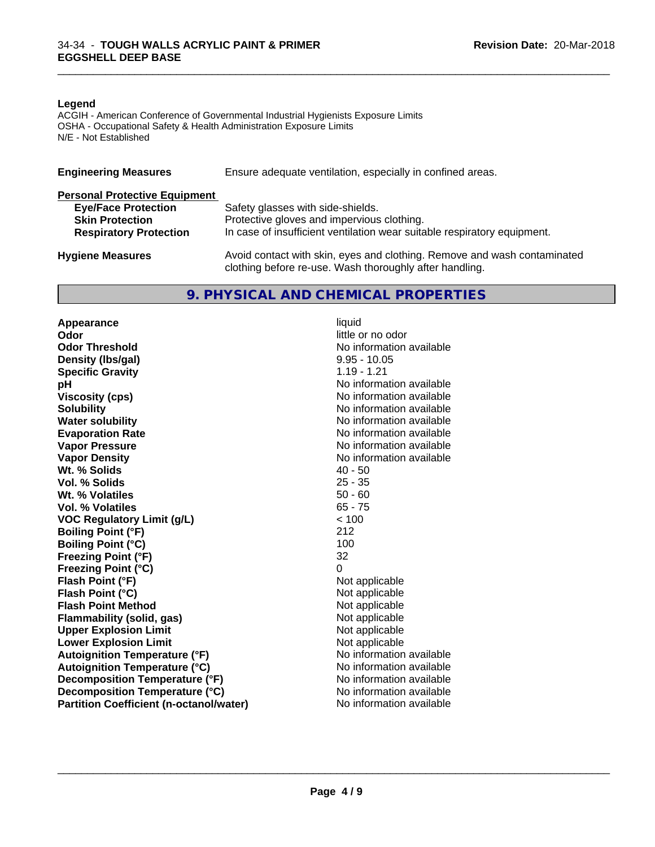#### **Legend**

ACGIH - American Conference of Governmental Industrial Hygienists Exposure Limits OSHA - Occupational Safety & Health Administration Exposure Limits N/E - Not Established

| <b>Engineering Measures</b>          | Ensure adequate ventilation, especially in confined areas.                                                                          |
|--------------------------------------|-------------------------------------------------------------------------------------------------------------------------------------|
| <b>Personal Protective Equipment</b> |                                                                                                                                     |
| <b>Eye/Face Protection</b>           | Safety glasses with side-shields.                                                                                                   |
| <b>Skin Protection</b>               | Protective gloves and impervious clothing.                                                                                          |
| <b>Respiratory Protection</b>        | In case of insufficient ventilation wear suitable respiratory equipment.                                                            |
| <b>Hygiene Measures</b>              | Avoid contact with skin, eyes and clothing. Remove and wash contaminated<br>clothing before re-use. Wash thoroughly after handling. |

# **9. PHYSICAL AND CHEMICAL PROPERTIES**

**Appearance** liquid<br> **Appearance** liquid<br> **Odor Odor Threshold No information available No information available Density (Ibs/gal)** 8.95 - 10.05<br> **Specific Gravity** 1.19 - 1.21 **Specific Gravity pH** No information available **Viscosity (cps)** No information available **Solubility No information available No information available Water solubility** No information available **Evaporation Rate No information available No information available Vapor Pressure** No information available No information available **Vapor Density**<br> **We Solids** (*We Solids* (*We Solids* (*We Solids* (*Me )* (*All 20 - 50* **Wt. % Solids** 40 - 50<br> **Vol. % Solids** 25 - 35 **Vol. % Solids Wt. % Volatiles** 50 - 60<br> **Vol. % Volatiles** 65 - 75 **Vol. % Volatiles VOC Regulatory Limit (g/L)** < 100 **Boiling Point (°F)** 212 **Boiling Point (°C)** 100 **Freezing Point (°F)** 32 **Freezing Point (°C)** 0 **Flash Point (°F)** Not applicable **Flash Point (°C)** Not applicable **Flash Point Method**<br> **Flammability (solid, gas)**<br>
Not applicable<br>
Not applicable **Flammability** (solid, gas) **Upper Explosion Limit**<br> **Lower Explosion Limit**<br> **Lower Explosion Limit Lower Explosion Limit**<br> **Autoignition Temperature (°F)**<br> **Autoignition Temperature (°F)**<br> **Autoignition Temperature (°F) Autoignition Temperature (°F) Autoignition Temperature (°C)** No information available **Decomposition Temperature (°F)** No information available **Decomposition Temperature (°C)** No information available **Partition Coefficient (n-octanol/water)** No information available

little or no odor

\_\_\_\_\_\_\_\_\_\_\_\_\_\_\_\_\_\_\_\_\_\_\_\_\_\_\_\_\_\_\_\_\_\_\_\_\_\_\_\_\_\_\_\_\_\_\_\_\_\_\_\_\_\_\_\_\_\_\_\_\_\_\_\_\_\_\_\_\_\_\_\_\_\_\_\_\_\_\_\_\_\_\_\_\_\_\_\_\_\_\_\_\_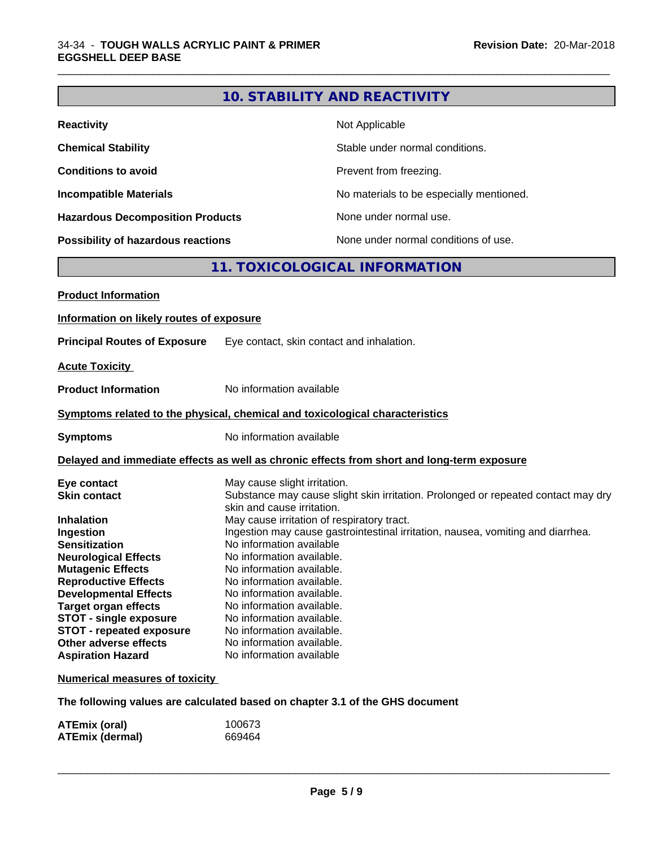# **10. STABILITY AND REACTIVITY**

\_\_\_\_\_\_\_\_\_\_\_\_\_\_\_\_\_\_\_\_\_\_\_\_\_\_\_\_\_\_\_\_\_\_\_\_\_\_\_\_\_\_\_\_\_\_\_\_\_\_\_\_\_\_\_\_\_\_\_\_\_\_\_\_\_\_\_\_\_\_\_\_\_\_\_\_\_\_\_\_\_\_\_\_\_\_\_\_\_\_\_\_\_

| <b>Reactivity</b>                       | Not Applicable                           |
|-----------------------------------------|------------------------------------------|
| <b>Chemical Stability</b>               | Stable under normal conditions.          |
| <b>Conditions to avoid</b>              | Prevent from freezing.                   |
| <b>Incompatible Materials</b>           | No materials to be especially mentioned. |
| <b>Hazardous Decomposition Products</b> | None under normal use.                   |
| Possibility of hazardous reactions      | None under normal conditions of use.     |

# **11. TOXICOLOGICAL INFORMATION**

| <b>Product Information</b>               |                                                                                                                 |
|------------------------------------------|-----------------------------------------------------------------------------------------------------------------|
| Information on likely routes of exposure |                                                                                                                 |
| <b>Principal Routes of Exposure</b>      | Eye contact, skin contact and inhalation.                                                                       |
| <b>Acute Toxicity</b>                    |                                                                                                                 |
| <b>Product Information</b>               | No information available                                                                                        |
|                                          | Symptoms related to the physical, chemical and toxicological characteristics                                    |
| <b>Symptoms</b>                          | No information available                                                                                        |
|                                          | Delayed and immediate effects as well as chronic effects from short and long-term exposure                      |
| Eye contact                              | May cause slight irritation.                                                                                    |
| <b>Skin contact</b>                      | Substance may cause slight skin irritation. Prolonged or repeated contact may dry<br>skin and cause irritation. |
| <b>Inhalation</b>                        | May cause irritation of respiratory tract.                                                                      |
| Ingestion                                | Ingestion may cause gastrointestinal irritation, nausea, vomiting and diarrhea.                                 |
| <b>Sensitization</b>                     | No information available                                                                                        |
| <b>Neurological Effects</b>              | No information available.                                                                                       |
| <b>Mutagenic Effects</b>                 | No information available.                                                                                       |
| <b>Reproductive Effects</b>              | No information available.                                                                                       |
| <b>Developmental Effects</b>             | No information available.                                                                                       |
| <b>Target organ effects</b>              | No information available.                                                                                       |
| STOT - single exposure                   | No information available.                                                                                       |
| <b>STOT - repeated exposure</b>          | No information available.                                                                                       |
| Other adverse effects                    | No information available.                                                                                       |
| <b>Aspiration Hazard</b>                 | No information available                                                                                        |
| <b>Numerical measures of toxicity</b>    |                                                                                                                 |
|                                          |                                                                                                                 |

**The following values are calculated based on chapter 3.1 of the GHS document**

| <b>ATEmix (oral)</b>   | 100673 |  |
|------------------------|--------|--|
| <b>ATEmix (dermal)</b> | 669464 |  |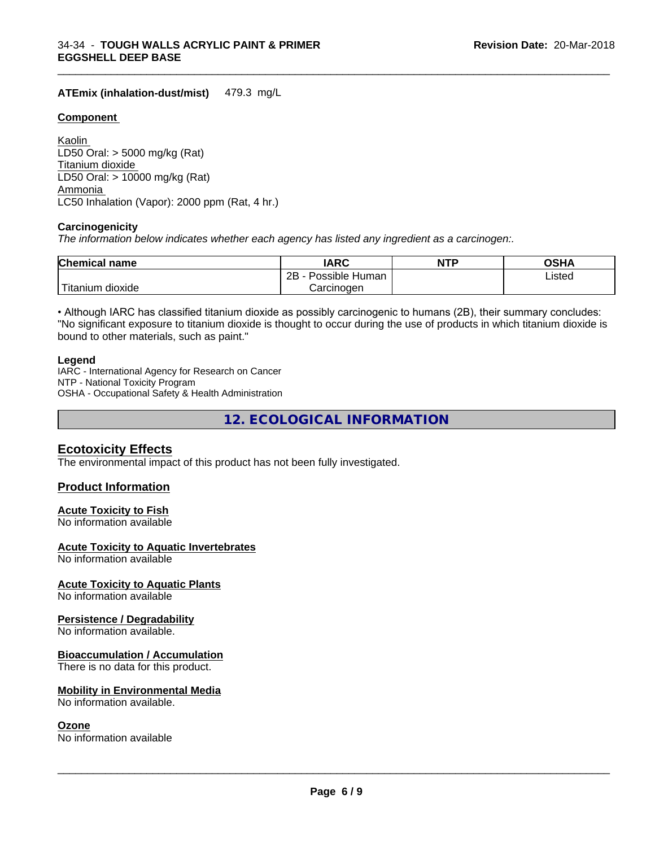### **ATEmix (inhalation-dust/mist)** 479.3 mg/L

#### **Component**

Kaolin LD50 Oral: > 5000 mg/kg (Rat) Titanium dioxide LD50 Oral: > 10000 mg/kg (Rat) Ammonia LC50 Inhalation (Vapor): 2000 ppm (Rat, 4 hr.)

#### **Carcinogenicity**

*The information below indicateswhether each agency has listed any ingredient as a carcinogen:.*

| <b>Chemical</b><br>name             | <b>IARC</b>                  | NTP | ດເ⊔∧<br>JJNP |  |
|-------------------------------------|------------------------------|-----|--------------|--|
|                                     | .<br>2B<br>Human<br>Possible |     | Listed       |  |
| $-1$<br>. dioxide<br><b>itanium</b> | Carcinogen                   |     |              |  |

\_\_\_\_\_\_\_\_\_\_\_\_\_\_\_\_\_\_\_\_\_\_\_\_\_\_\_\_\_\_\_\_\_\_\_\_\_\_\_\_\_\_\_\_\_\_\_\_\_\_\_\_\_\_\_\_\_\_\_\_\_\_\_\_\_\_\_\_\_\_\_\_\_\_\_\_\_\_\_\_\_\_\_\_\_\_\_\_\_\_\_\_\_

• Although IARC has classified titanium dioxide as possibly carcinogenic to humans (2B), their summary concludes: "No significant exposure to titanium dioxide is thought to occur during the use of products in which titanium dioxide is bound to other materials, such as paint."

#### **Legend**

IARC - International Agency for Research on Cancer NTP - National Toxicity Program OSHA - Occupational Safety & Health Administration

**12. ECOLOGICAL INFORMATION**

# **Ecotoxicity Effects**

The environmental impact of this product has not been fully investigated.

## **Product Information**

#### **Acute Toxicity to Fish**

No information available

## **Acute Toxicity to Aquatic Invertebrates**

No information available

#### **Acute Toxicity to Aquatic Plants**

No information available

#### **Persistence / Degradability**

No information available.

#### **Bioaccumulation / Accumulation**

There is no data for this product.

#### **Mobility in Environmental Media**

No information available.

#### **Ozone**

No information available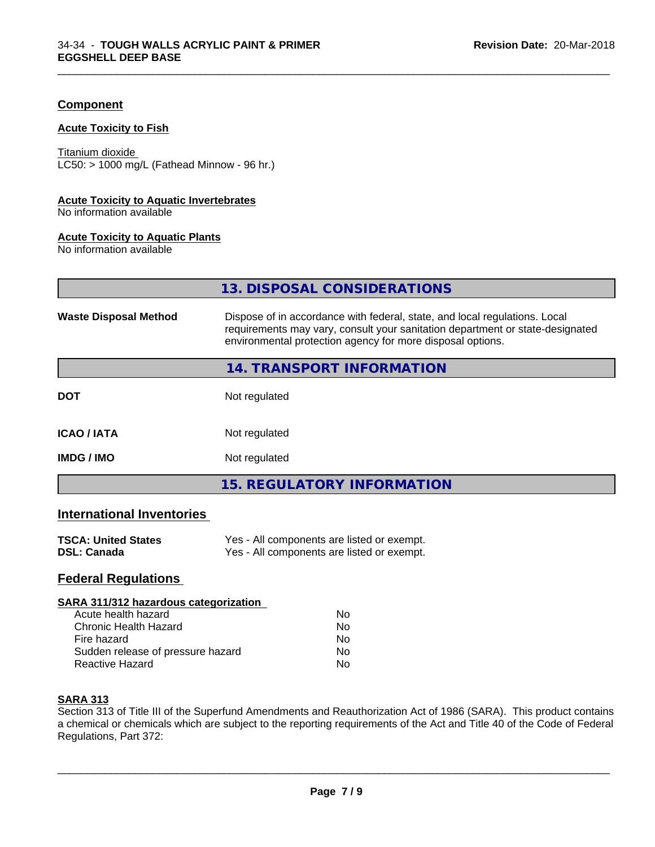## **Component**

#### **Acute Toxicity to Fish**

Titanium dioxide  $LC50:$  > 1000 mg/L (Fathead Minnow - 96 hr.)

#### **Acute Toxicity to Aquatic Invertebrates**

No information available

#### **Acute Toxicity to Aquatic Plants**

No information available

|                              | 13. DISPOSAL CONSIDERATIONS                                                                                                                                                                                               |
|------------------------------|---------------------------------------------------------------------------------------------------------------------------------------------------------------------------------------------------------------------------|
| <b>Waste Disposal Method</b> | Dispose of in accordance with federal, state, and local regulations. Local<br>requirements may vary, consult your sanitation department or state-designated<br>environmental protection agency for more disposal options. |
|                              | 14. TRANSPORT INFORMATION                                                                                                                                                                                                 |
| <b>DOT</b>                   | Not regulated                                                                                                                                                                                                             |
| <b>ICAO/IATA</b>             | Not regulated                                                                                                                                                                                                             |
| <b>IMDG / IMO</b>            | Not regulated                                                                                                                                                                                                             |
|                              | <b>15. REGULATORY INFORMATION</b>                                                                                                                                                                                         |

\_\_\_\_\_\_\_\_\_\_\_\_\_\_\_\_\_\_\_\_\_\_\_\_\_\_\_\_\_\_\_\_\_\_\_\_\_\_\_\_\_\_\_\_\_\_\_\_\_\_\_\_\_\_\_\_\_\_\_\_\_\_\_\_\_\_\_\_\_\_\_\_\_\_\_\_\_\_\_\_\_\_\_\_\_\_\_\_\_\_\_\_\_

# **International Inventories**

| <b>TSCA: United States</b> | Yes - All components are listed or exempt. |
|----------------------------|--------------------------------------------|
| <b>DSL: Canada</b>         | Yes - All components are listed or exempt. |

# **Federal Regulations**

#### **SARA 311/312 hazardous categorization**

| Acute health hazard               | Nο |  |
|-----------------------------------|----|--|
| Chronic Health Hazard             | Nο |  |
| Fire hazard                       | Nο |  |
| Sudden release of pressure hazard | N٥ |  |
| Reactive Hazard                   | N٥ |  |

# **SARA 313**

Section 313 of Title III of the Superfund Amendments and Reauthorization Act of 1986 (SARA). This product contains a chemical or chemicals which are subject to the reporting requirements of the Act and Title 40 of the Code of Federal Regulations, Part 372: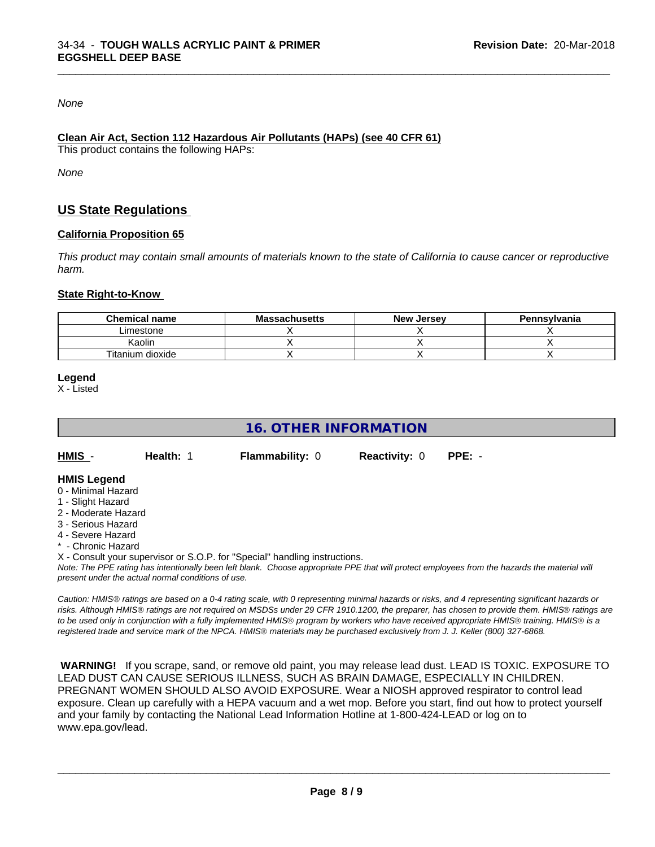*None*

#### **Clean Air Act,Section 112 Hazardous Air Pollutants (HAPs) (see 40 CFR 61)**

This product contains the following HAPs:

*None*

# **US State Regulations**

#### **California Proposition 65**

This product may contain small amounts of materials known to the state of California to cause cancer or reproductive *harm.*

\_\_\_\_\_\_\_\_\_\_\_\_\_\_\_\_\_\_\_\_\_\_\_\_\_\_\_\_\_\_\_\_\_\_\_\_\_\_\_\_\_\_\_\_\_\_\_\_\_\_\_\_\_\_\_\_\_\_\_\_\_\_\_\_\_\_\_\_\_\_\_\_\_\_\_\_\_\_\_\_\_\_\_\_\_\_\_\_\_\_\_\_\_

#### **State Right-to-Know**

| <b>Chemical name</b> | <b>Massachusetts</b> | <b>New Jersey</b> | Pennsylvania |
|----------------------|----------------------|-------------------|--------------|
| Limestone            |                      |                   |              |
| Kaolin               |                      |                   |              |
| Titanium dioxide     |                      |                   |              |

**Legend**

X - Listed

# **16. OTHER INFORMATION**

| HMIS | Health: 1 | <b>Flammability: 0</b> | <b>Reactivity: 0 PPE: -</b> |  |  |
|------|-----------|------------------------|-----------------------------|--|--|
|------|-----------|------------------------|-----------------------------|--|--|

#### **HMIS Legend**

- 0 Minimal Hazard
- 1 Slight Hazard
- 2 Moderate Hazard
- 3 Serious Hazard
- 4 Severe Hazard
- \* Chronic Hazard
- X Consult your supervisor or S.O.P. for "Special" handling instructions.

*Note: The PPE rating has intentionally been left blank. Choose appropriate PPE that will protect employees from the hazards the material will present under the actual normal conditions of use.*

*Caution: HMISÒ ratings are based on a 0-4 rating scale, with 0 representing minimal hazards or risks, and 4 representing significant hazards or risks. Although HMISÒ ratings are not required on MSDSs under 29 CFR 1910.1200, the preparer, has chosen to provide them. HMISÒ ratings are to be used only in conjunction with a fully implemented HMISÒ program by workers who have received appropriate HMISÒ training. HMISÒ is a registered trade and service mark of the NPCA. HMISÒ materials may be purchased exclusively from J. J. Keller (800) 327-6868.*

 **WARNING!** If you scrape, sand, or remove old paint, you may release lead dust. LEAD IS TOXIC. EXPOSURE TO LEAD DUST CAN CAUSE SERIOUS ILLNESS, SUCH AS BRAIN DAMAGE, ESPECIALLY IN CHILDREN. PREGNANT WOMEN SHOULD ALSO AVOID EXPOSURE.Wear a NIOSH approved respirator to control lead exposure. Clean up carefully with a HEPA vacuum and a wet mop. Before you start, find out how to protect yourself and your family by contacting the National Lead Information Hotline at 1-800-424-LEAD or log on to www.epa.gov/lead.